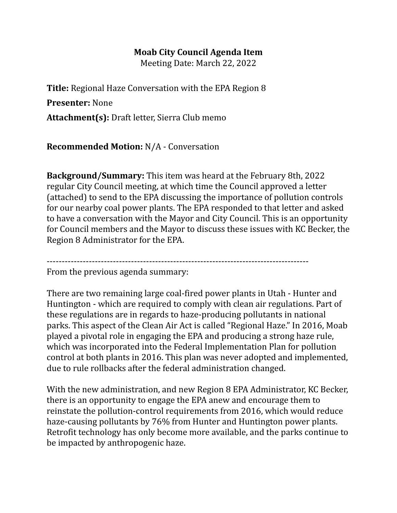## **Moab City Council Agenda Item**

Meeting Date: March 22, 2022

**Title:** Regional Haze Conversation with the EPA Region 8

**Presenter:** None

**Attachment(s):** Draft letter, Sierra Club memo

**Recommended Motion:** N/A - Conversation

**Background/Summary:** This item was heard at the February 8th, 2022 regular City Council meeting, at which time the Council approved a letter (attached) to send to the EPA discussing the importance of pollution controls for our nearby coal power plants. The EPA responded to that letter and asked to have a conversation with the Mayor and City Council. This is an opportunity for Council members and the Mayor to discuss these issues with KC Becker, the Region 8 Administrator for the EPA.

---------------------------------------------------------------------------------------

From the previous agenda summary:

There are two remaining large coal-fired power plants in Utah - Hunter and Huntington - which are required to comply with clean air regulations. Part of these regulations are in regards to haze-producing pollutants in national parks. This aspect of the Clean Air Act is called "Regional Haze." In 2016, Moab played a pivotal role in engaging the EPA and producing a strong haze rule, which was incorporated into the Federal Implementation Plan for pollution control at both plants in 2016. This plan was never adopted and implemented, due to rule rollbacks after the federal administration changed.

With the new administration, and new Region 8 EPA Administrator, KC Becker, there is an opportunity to engage the EPA anew and encourage them to reinstate the pollution-control requirements from 2016, which would reduce haze-causing pollutants by 76% from Hunter and Huntington power plants. Retrofit technology has only become more available, and the parks continue to be impacted by anthropogenic haze.